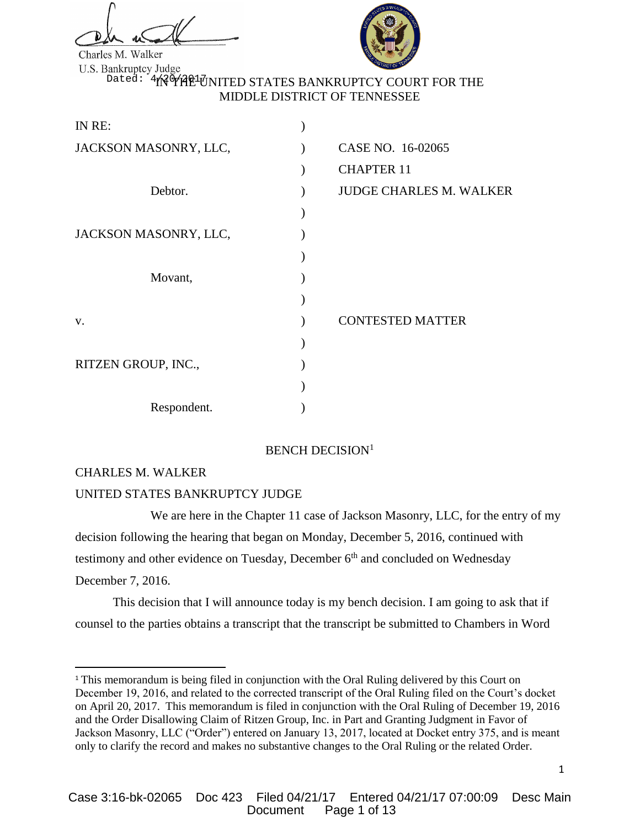

Charles M. Walker

<sup>Dated: 1</sup>1N MY MAP UNITED STATES BANKRUPTCY COURT FOR THE MIDDLE DISTRICT OF TENNESSEE

| IN RE:                |                                |
|-----------------------|--------------------------------|
| JACKSON MASONRY, LLC, | CASE NO. 16-02065              |
|                       | <b>CHAPTER 11</b>              |
| Debtor.               | <b>JUDGE CHARLES M. WALKER</b> |
|                       |                                |
| JACKSON MASONRY, LLC, |                                |
|                       |                                |
| Movant,               |                                |
|                       |                                |
| V.                    | <b>CONTESTED MATTER</b>        |
|                       |                                |
| RITZEN GROUP, INC.,   |                                |
|                       |                                |
| Respondent.           |                                |

# BENCH DECISION<sup>1</sup>

# CHARLES M. WALKER

 $\overline{a}$ 

# UNITED STATES BANKRUPTCY JUDGE

We are here in the Chapter 11 case of Jackson Masonry, LLC, for the entry of my decision following the hearing that began on Monday, December 5, 2016, continued with testimony and other evidence on Tuesday, December 6<sup>th</sup> and concluded on Wednesday December 7, 2016.

This decision that I will announce today is my bench decision. I am going to ask that if counsel to the parties obtains a transcript that the transcript be submitted to Chambers in Word

<sup>&</sup>lt;sup>1</sup> This memorandum is being filed in conjunction with the Oral Ruling delivered by this Court on December 19, 2016, and related to the corrected transcript of the Oral Ruling filed on the Court's docket on April 20, 2017. This memorandum is filed in conjunction with the Oral Ruling of December 19, 2016 and the Order Disallowing Claim of Ritzen Group, Inc. in Part and Granting Judgment in Favor of Jackson Masonry, LLC ("Order") entered on January 13, 2017, located at Docket entry 375, and is meant only to clarify the record and makes no substantive changes to the Oral Ruling or the related Order.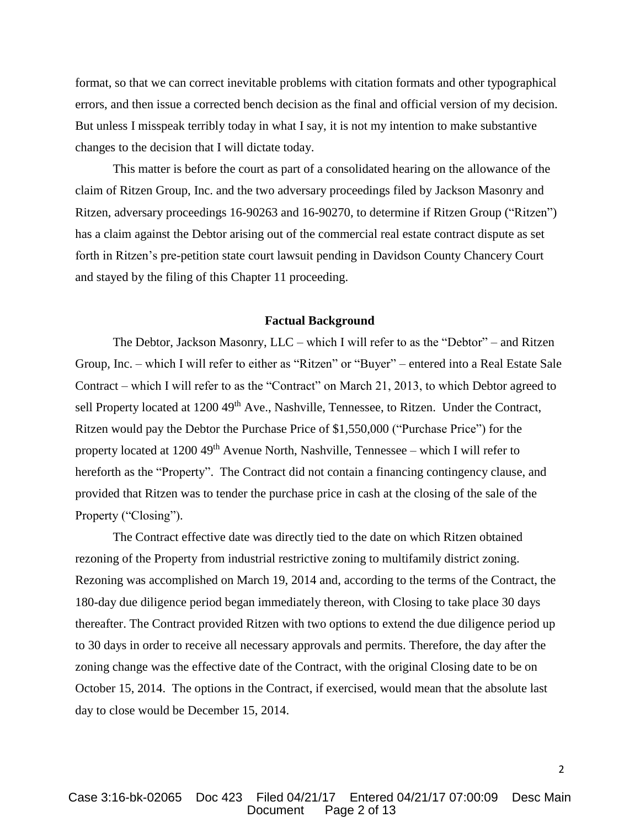format, so that we can correct inevitable problems with citation formats and other typographical errors, and then issue a corrected bench decision as the final and official version of my decision. But unless I misspeak terribly today in what I say, it is not my intention to make substantive changes to the decision that I will dictate today.

This matter is before the court as part of a consolidated hearing on the allowance of the claim of Ritzen Group, Inc. and the two adversary proceedings filed by Jackson Masonry and Ritzen, adversary proceedings 16-90263 and 16-90270, to determine if Ritzen Group ("Ritzen") has a claim against the Debtor arising out of the commercial real estate contract dispute as set forth in Ritzen's pre-petition state court lawsuit pending in Davidson County Chancery Court and stayed by the filing of this Chapter 11 proceeding.

#### **Factual Background**

The Debtor, Jackson Masonry, LLC – which I will refer to as the "Debtor" – and Ritzen Group, Inc. – which I will refer to either as "Ritzen" or "Buyer" – entered into a Real Estate Sale Contract – which I will refer to as the "Contract" on March 21, 2013, to which Debtor agreed to sell Property located at 1200 49<sup>th</sup> Ave., Nashville, Tennessee, to Ritzen. Under the Contract, Ritzen would pay the Debtor the Purchase Price of \$1,550,000 ("Purchase Price") for the property located at  $1200\,49<sup>th</sup>$  Avenue North, Nashville, Tennessee – which I will refer to hereforth as the "Property". The Contract did not contain a financing contingency clause, and provided that Ritzen was to tender the purchase price in cash at the closing of the sale of the Property ("Closing").

The Contract effective date was directly tied to the date on which Ritzen obtained rezoning of the Property from industrial restrictive zoning to multifamily district zoning. Rezoning was accomplished on March 19, 2014 and, according to the terms of the Contract, the 180-day due diligence period began immediately thereon, with Closing to take place 30 days thereafter. The Contract provided Ritzen with two options to extend the due diligence period up to 30 days in order to receive all necessary approvals and permits. Therefore, the day after the zoning change was the effective date of the Contract, with the original Closing date to be on October 15, 2014. The options in the Contract, if exercised, would mean that the absolute last day to close would be December 15, 2014.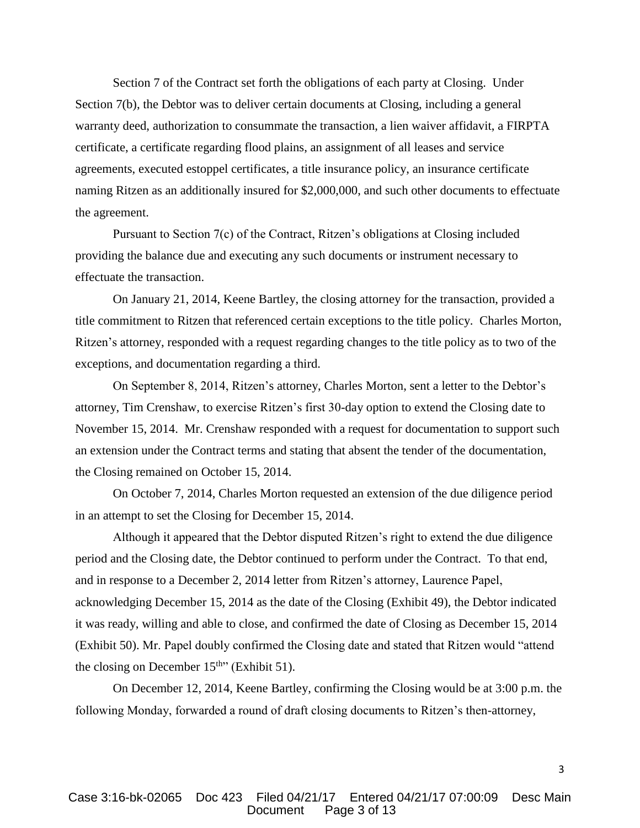Section 7 of the Contract set forth the obligations of each party at Closing. Under Section 7(b), the Debtor was to deliver certain documents at Closing, including a general warranty deed, authorization to consummate the transaction, a lien waiver affidavit, a FIRPTA certificate, a certificate regarding flood plains, an assignment of all leases and service agreements, executed estoppel certificates, a title insurance policy, an insurance certificate naming Ritzen as an additionally insured for \$2,000,000, and such other documents to effectuate the agreement.

Pursuant to Section 7(c) of the Contract, Ritzen's obligations at Closing included providing the balance due and executing any such documents or instrument necessary to effectuate the transaction.

On January 21, 2014, Keene Bartley, the closing attorney for the transaction, provided a title commitment to Ritzen that referenced certain exceptions to the title policy. Charles Morton, Ritzen's attorney, responded with a request regarding changes to the title policy as to two of the exceptions, and documentation regarding a third.

On September 8, 2014, Ritzen's attorney, Charles Morton, sent a letter to the Debtor's attorney, Tim Crenshaw, to exercise Ritzen's first 30-day option to extend the Closing date to November 15, 2014. Mr. Crenshaw responded with a request for documentation to support such an extension under the Contract terms and stating that absent the tender of the documentation, the Closing remained on October 15, 2014.

On October 7, 2014, Charles Morton requested an extension of the due diligence period in an attempt to set the Closing for December 15, 2014.

Although it appeared that the Debtor disputed Ritzen's right to extend the due diligence period and the Closing date, the Debtor continued to perform under the Contract. To that end, and in response to a December 2, 2014 letter from Ritzen's attorney, Laurence Papel, acknowledging December 15, 2014 as the date of the Closing (Exhibit 49), the Debtor indicated it was ready, willing and able to close, and confirmed the date of Closing as December 15, 2014 (Exhibit 50). Mr. Papel doubly confirmed the Closing date and stated that Ritzen would "attend the closing on December  $15^{th}$ " (Exhibit 51).

On December 12, 2014, Keene Bartley, confirming the Closing would be at 3:00 p.m. the following Monday, forwarded a round of draft closing documents to Ritzen's then-attorney,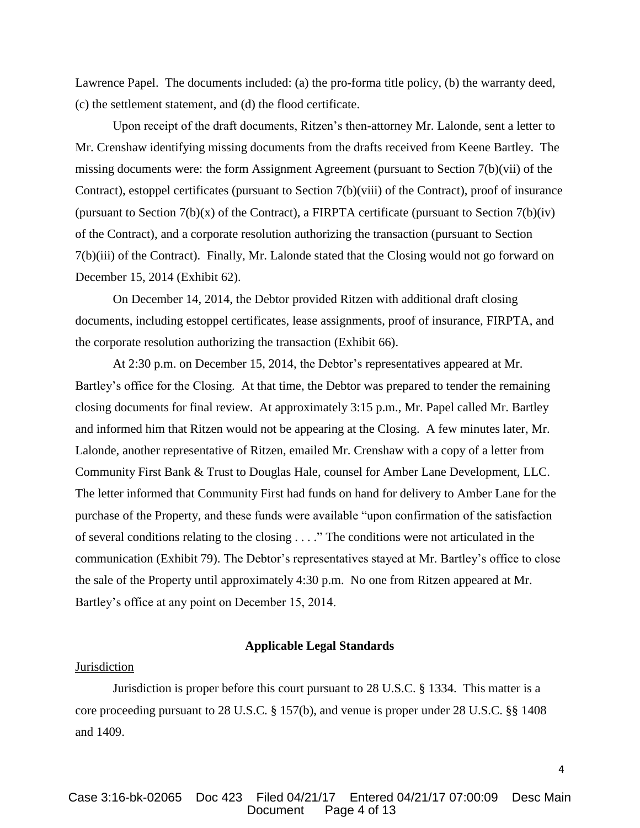Lawrence Papel. The documents included: (a) the pro-forma title policy, (b) the warranty deed, (c) the settlement statement, and (d) the flood certificate.

Upon receipt of the draft documents, Ritzen's then-attorney Mr. Lalonde, sent a letter to Mr. Crenshaw identifying missing documents from the drafts received from Keene Bartley. The missing documents were: the form Assignment Agreement (pursuant to Section 7(b)(vii) of the Contract), estoppel certificates (pursuant to Section 7(b)(viii) of the Contract), proof of insurance (pursuant to Section  $7(b)(x)$  of the Contract), a FIRPTA certificate (pursuant to Section  $7(b)(iv)$ ) of the Contract), and a corporate resolution authorizing the transaction (pursuant to Section 7(b)(iii) of the Contract). Finally, Mr. Lalonde stated that the Closing would not go forward on December 15, 2014 (Exhibit 62).

On December 14, 2014, the Debtor provided Ritzen with additional draft closing documents, including estoppel certificates, lease assignments, proof of insurance, FIRPTA, and the corporate resolution authorizing the transaction (Exhibit 66).

At 2:30 p.m. on December 15, 2014, the Debtor's representatives appeared at Mr. Bartley's office for the Closing. At that time, the Debtor was prepared to tender the remaining closing documents for final review. At approximately 3:15 p.m., Mr. Papel called Mr. Bartley and informed him that Ritzen would not be appearing at the Closing. A few minutes later, Mr. Lalonde, another representative of Ritzen, emailed Mr. Crenshaw with a copy of a letter from Community First Bank & Trust to Douglas Hale, counsel for Amber Lane Development, LLC. The letter informed that Community First had funds on hand for delivery to Amber Lane for the purchase of the Property, and these funds were available "upon confirmation of the satisfaction of several conditions relating to the closing . . . ." The conditions were not articulated in the communication (Exhibit 79). The Debtor's representatives stayed at Mr. Bartley's office to close the sale of the Property until approximately 4:30 p.m. No one from Ritzen appeared at Mr. Bartley's office at any point on December 15, 2014.

### **Applicable Legal Standards**

# Jurisdiction

Jurisdiction is proper before this court pursuant to 28 U.S.C. § 1334. This matter is a core proceeding pursuant to 28 U.S.C. § 157(b), and venue is proper under 28 U.S.C. §§ 1408 and 1409.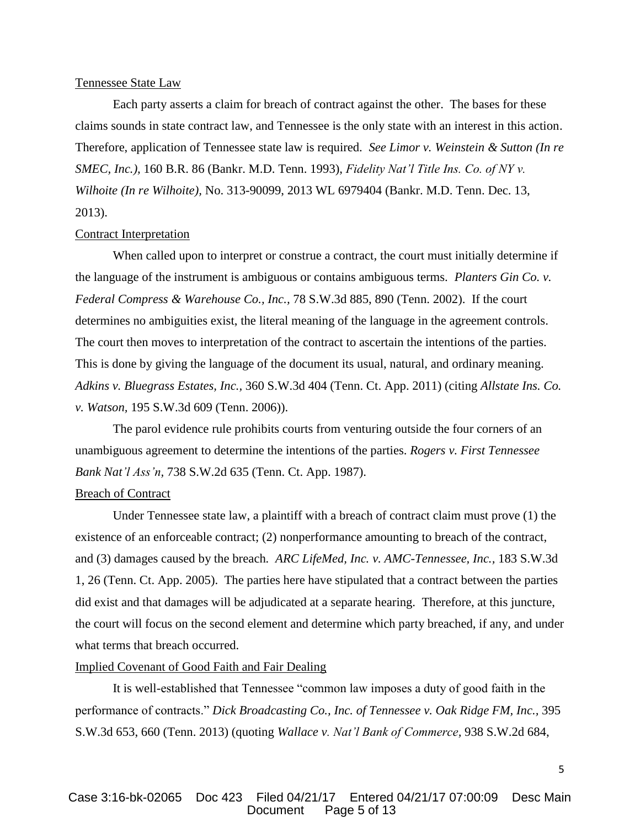# Tennessee State Law

Each party asserts a claim for breach of contract against the other. The bases for these claims sounds in state contract law, and Tennessee is the only state with an interest in this action. Therefore, application of Tennessee state law is required. *See Limor v. Weinstein & Sutton (In re SMEC, Inc.),* 160 B.R. 86 (Bankr. M.D. Tenn. 1993), *Fidelity Nat'l Title Ins. Co. of NY v. Wilhoite (In re Wilhoite),* No. 313-90099, 2013 WL 6979404 (Bankr. M.D. Tenn. Dec. 13, 2013).

#### Contract Interpretation

When called upon to interpret or construe a contract, the court must initially determine if the language of the instrument is ambiguous or contains ambiguous terms. *Planters Gin Co. v. Federal Compress & Warehouse Co., Inc.,* 78 S.W.3d 885, 890 (Tenn. 2002). If the court determines no ambiguities exist, the literal meaning of the language in the agreement controls. The court then moves to interpretation of the contract to ascertain the intentions of the parties. This is done by giving the language of the document its usual, natural, and ordinary meaning. *Adkins v. Bluegrass Estates, Inc.,* 360 S.W.3d 404 (Tenn. Ct. App. 2011) (citing *Allstate Ins. Co. v. Watson,* 195 S.W.3d 609 (Tenn. 2006)).

The parol evidence rule prohibits courts from venturing outside the four corners of an unambiguous agreement to determine the intentions of the parties. *Rogers v. First Tennessee Bank Nat'l Ass'n,* 738 S.W.2d 635 (Tenn. Ct. App. 1987).

### **Breach of Contract**

Under Tennessee state law, a plaintiff with a breach of contract claim must prove (1) the existence of an enforceable contract; (2) nonperformance amounting to breach of the contract, and (3) damages caused by the breach*. ARC LifeMed, Inc. v. AMC-Tennessee, Inc.,* 183 S.W.3d 1, 26 (Tenn. Ct. App. 2005). The parties here have stipulated that a contract between the parties did exist and that damages will be adjudicated at a separate hearing. Therefore, at this juncture, the court will focus on the second element and determine which party breached, if any, and under what terms that breach occurred.

## Implied Covenant of Good Faith and Fair Dealing

It is well-established that Tennessee "common law imposes a duty of good faith in the performance of contracts." *Dick Broadcasting Co., Inc. of Tennessee v. Oak Ridge FM, Inc.,* 395 S.W.3d 653, 660 (Tenn. 2013) (quoting *Wallace v. Nat'l Bank of Commerce,* 938 S.W.2d 684,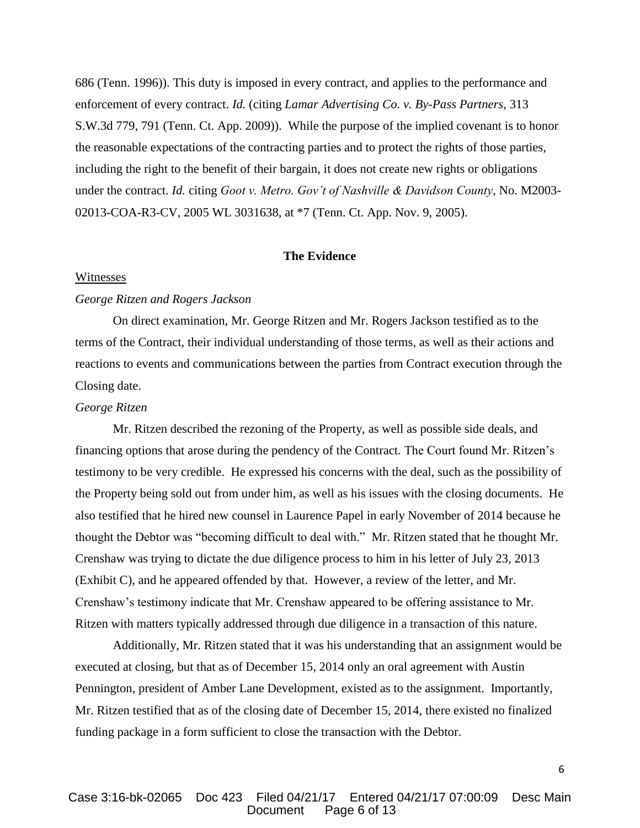686 (Tenn. 1996)). This duty is imposed in every contract, and applies to the performance and enforcement of every contract. *Id.* (citing *Lamar Advertising Co. v. By-Pass Partners,* 313 S.W.3d 779, 791 (Tenn. Ct. App. 2009)). While the purpose of the implied covenant is to honor the reasonable expectations of the contracting parties and to protect the rights of those parties, including the right to the benefit of their bargain, it does not create new rights or obligations under the contract. *Id.* citing *Goot v. Metro. Gov't of Nashville & Davidson County*, No. M2003- 02013-COA-R3-CV, 2005 WL 3031638, at \*7 (Tenn. Ct. App. Nov. 9, 2005).

### **The Evidence**

#### Witnesses

# *George Ritzen and Rogers Jackson*

On direct examination, Mr. George Ritzen and Mr. Rogers Jackson testified as to the terms of the Contract, their individual understanding of those terms, as well as their actions and reactions to events and communications between the parties from Contract execution through the Closing date.

## *George Ritzen*

Mr. Ritzen described the rezoning of the Property, as well as possible side deals, and financing options that arose during the pendency of the Contract. The Court found Mr. Ritzen's testimony to be very credible. He expressed his concerns with the deal, such as the possibility of the Property being sold out from under him, as well as his issues with the closing documents. He also testified that he hired new counsel in Laurence Papel in early November of 2014 because he thought the Debtor was "becoming difficult to deal with." Mr. Ritzen stated that he thought Mr. Crenshaw was trying to dictate the due diligence process to him in his letter of July 23, 2013 (Exhibit C), and he appeared offended by that. However, a review of the letter, and Mr. Crenshaw's testimony indicate that Mr. Crenshaw appeared to be offering assistance to Mr. Ritzen with matters typically addressed through due diligence in a transaction of this nature.

Additionally, Mr. Ritzen stated that it was his understanding that an assignment would be executed at closing, but that as of December 15, 2014 only an oral agreement with Austin Pennington, president of Amber Lane Development, existed as to the assignment. Importantly, Mr. Ritzen testified that as of the closing date of December 15, 2014, there existed no finalized funding package in a form sufficient to close the transaction with the Debtor.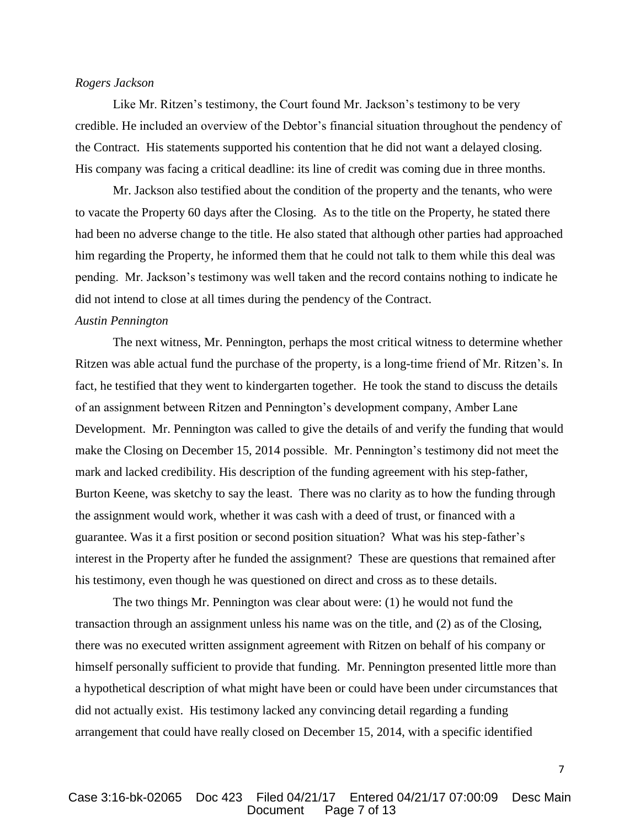# *Rogers Jackson*

Like Mr. Ritzen's testimony, the Court found Mr. Jackson's testimony to be very credible. He included an overview of the Debtor's financial situation throughout the pendency of the Contract. His statements supported his contention that he did not want a delayed closing. His company was facing a critical deadline: its line of credit was coming due in three months.

Mr. Jackson also testified about the condition of the property and the tenants, who were to vacate the Property 60 days after the Closing. As to the title on the Property, he stated there had been no adverse change to the title. He also stated that although other parties had approached him regarding the Property, he informed them that he could not talk to them while this deal was pending. Mr. Jackson's testimony was well taken and the record contains nothing to indicate he did not intend to close at all times during the pendency of the Contract.

#### *Austin Pennington*

The next witness, Mr. Pennington, perhaps the most critical witness to determine whether Ritzen was able actual fund the purchase of the property, is a long-time friend of Mr. Ritzen's. In fact, he testified that they went to kindergarten together. He took the stand to discuss the details of an assignment between Ritzen and Pennington's development company, Amber Lane Development. Mr. Pennington was called to give the details of and verify the funding that would make the Closing on December 15, 2014 possible. Mr. Pennington's testimony did not meet the mark and lacked credibility. His description of the funding agreement with his step-father, Burton Keene, was sketchy to say the least. There was no clarity as to how the funding through the assignment would work, whether it was cash with a deed of trust, or financed with a guarantee. Was it a first position or second position situation? What was his step-father's interest in the Property after he funded the assignment? These are questions that remained after his testimony, even though he was questioned on direct and cross as to these details.

The two things Mr. Pennington was clear about were: (1) he would not fund the transaction through an assignment unless his name was on the title, and (2) as of the Closing, there was no executed written assignment agreement with Ritzen on behalf of his company or himself personally sufficient to provide that funding. Mr. Pennington presented little more than a hypothetical description of what might have been or could have been under circumstances that did not actually exist. His testimony lacked any convincing detail regarding a funding arrangement that could have really closed on December 15, 2014, with a specific identified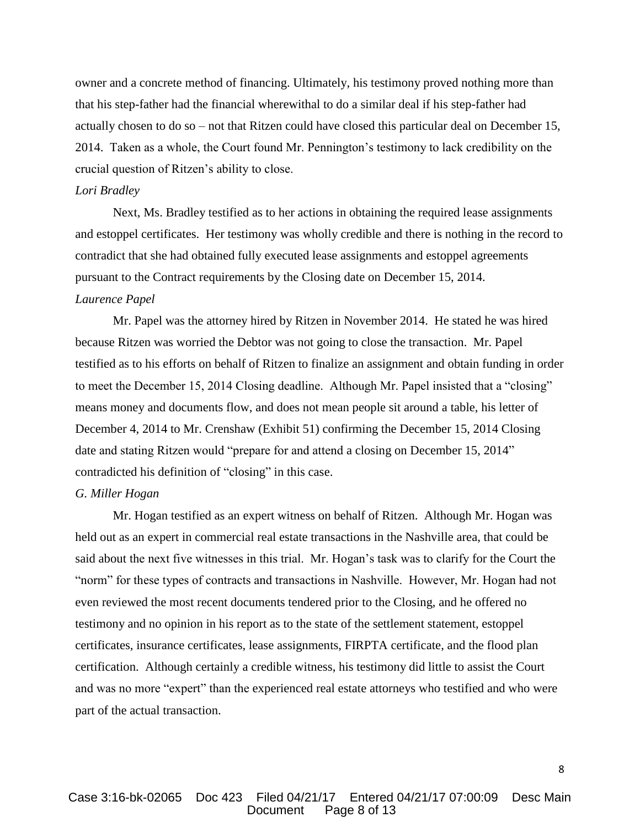owner and a concrete method of financing. Ultimately, his testimony proved nothing more than that his step-father had the financial wherewithal to do a similar deal if his step-father had actually chosen to do so – not that Ritzen could have closed this particular deal on December 15, 2014. Taken as a whole, the Court found Mr. Pennington's testimony to lack credibility on the crucial question of Ritzen's ability to close.

### *Lori Bradley*

Next, Ms. Bradley testified as to her actions in obtaining the required lease assignments and estoppel certificates. Her testimony was wholly credible and there is nothing in the record to contradict that she had obtained fully executed lease assignments and estoppel agreements pursuant to the Contract requirements by the Closing date on December 15, 2014.

### *Laurence Papel*

Mr. Papel was the attorney hired by Ritzen in November 2014. He stated he was hired because Ritzen was worried the Debtor was not going to close the transaction. Mr. Papel testified as to his efforts on behalf of Ritzen to finalize an assignment and obtain funding in order to meet the December 15, 2014 Closing deadline. Although Mr. Papel insisted that a "closing" means money and documents flow, and does not mean people sit around a table, his letter of December 4, 2014 to Mr. Crenshaw (Exhibit 51) confirming the December 15, 2014 Closing date and stating Ritzen would "prepare for and attend a closing on December 15, 2014" contradicted his definition of "closing" in this case.

### *G. Miller Hogan*

Mr. Hogan testified as an expert witness on behalf of Ritzen. Although Mr. Hogan was held out as an expert in commercial real estate transactions in the Nashville area, that could be said about the next five witnesses in this trial. Mr. Hogan's task was to clarify for the Court the "norm" for these types of contracts and transactions in Nashville. However, Mr. Hogan had not even reviewed the most recent documents tendered prior to the Closing, and he offered no testimony and no opinion in his report as to the state of the settlement statement, estoppel certificates, insurance certificates, lease assignments, FIRPTA certificate, and the flood plan certification. Although certainly a credible witness, his testimony did little to assist the Court and was no more "expert" than the experienced real estate attorneys who testified and who were part of the actual transaction.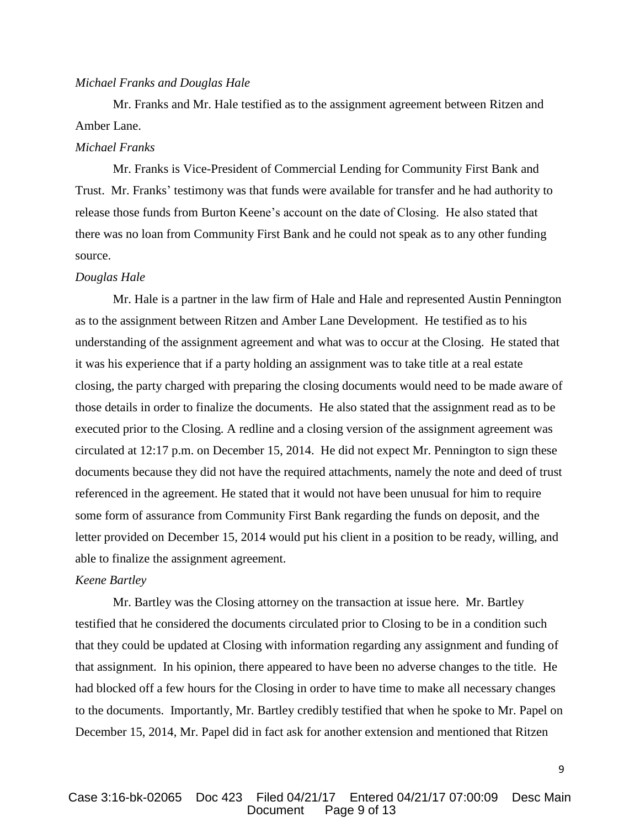### *Michael Franks and Douglas Hale*

Mr. Franks and Mr. Hale testified as to the assignment agreement between Ritzen and Amber Lane.

### *Michael Franks*

Mr. Franks is Vice-President of Commercial Lending for Community First Bank and Trust. Mr. Franks' testimony was that funds were available for transfer and he had authority to release those funds from Burton Keene's account on the date of Closing. He also stated that there was no loan from Community First Bank and he could not speak as to any other funding source.

### *Douglas Hale*

Mr. Hale is a partner in the law firm of Hale and Hale and represented Austin Pennington as to the assignment between Ritzen and Amber Lane Development. He testified as to his understanding of the assignment agreement and what was to occur at the Closing. He stated that it was his experience that if a party holding an assignment was to take title at a real estate closing, the party charged with preparing the closing documents would need to be made aware of those details in order to finalize the documents. He also stated that the assignment read as to be executed prior to the Closing. A redline and a closing version of the assignment agreement was circulated at 12:17 p.m. on December 15, 2014. He did not expect Mr. Pennington to sign these documents because they did not have the required attachments, namely the note and deed of trust referenced in the agreement. He stated that it would not have been unusual for him to require some form of assurance from Community First Bank regarding the funds on deposit, and the letter provided on December 15, 2014 would put his client in a position to be ready, willing, and able to finalize the assignment agreement.

# *Keene Bartley*

Mr. Bartley was the Closing attorney on the transaction at issue here. Mr. Bartley testified that he considered the documents circulated prior to Closing to be in a condition such that they could be updated at Closing with information regarding any assignment and funding of that assignment. In his opinion, there appeared to have been no adverse changes to the title. He had blocked off a few hours for the Closing in order to have time to make all necessary changes to the documents. Importantly, Mr. Bartley credibly testified that when he spoke to Mr. Papel on December 15, 2014, Mr. Papel did in fact ask for another extension and mentioned that Ritzen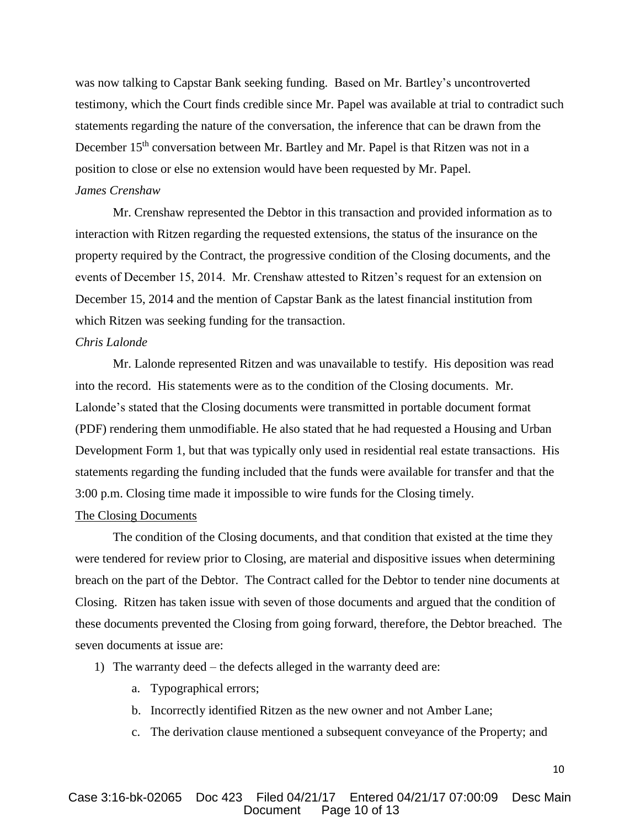was now talking to Capstar Bank seeking funding. Based on Mr. Bartley's uncontroverted testimony, which the Court finds credible since Mr. Papel was available at trial to contradict such statements regarding the nature of the conversation, the inference that can be drawn from the December 15<sup>th</sup> conversation between Mr. Bartley and Mr. Papel is that Ritzen was not in a position to close or else no extension would have been requested by Mr. Papel.

# *James Crenshaw*

Mr. Crenshaw represented the Debtor in this transaction and provided information as to interaction with Ritzen regarding the requested extensions, the status of the insurance on the property required by the Contract, the progressive condition of the Closing documents, and the events of December 15, 2014. Mr. Crenshaw attested to Ritzen's request for an extension on December 15, 2014 and the mention of Capstar Bank as the latest financial institution from which Ritzen was seeking funding for the transaction.

# *Chris Lalonde*

Mr. Lalonde represented Ritzen and was unavailable to testify. His deposition was read into the record. His statements were as to the condition of the Closing documents. Mr. Lalonde's stated that the Closing documents were transmitted in portable document format (PDF) rendering them unmodifiable. He also stated that he had requested a Housing and Urban Development Form 1, but that was typically only used in residential real estate transactions. His statements regarding the funding included that the funds were available for transfer and that the 3:00 p.m. Closing time made it impossible to wire funds for the Closing timely.

# The Closing Documents

The condition of the Closing documents, and that condition that existed at the time they were tendered for review prior to Closing, are material and dispositive issues when determining breach on the part of the Debtor. The Contract called for the Debtor to tender nine documents at Closing. Ritzen has taken issue with seven of those documents and argued that the condition of these documents prevented the Closing from going forward, therefore, the Debtor breached. The seven documents at issue are:

- 1) The warranty deed the defects alleged in the warranty deed are:
	- a. Typographical errors;
	- b. Incorrectly identified Ritzen as the new owner and not Amber Lane;
	- c. The derivation clause mentioned a subsequent conveyance of the Property; and

# Case 3:16-bk-02065 Doc 423 Filed 04/21/17 Entered 04/21/17 07:00:09 Desc Main Document Page 10 of 13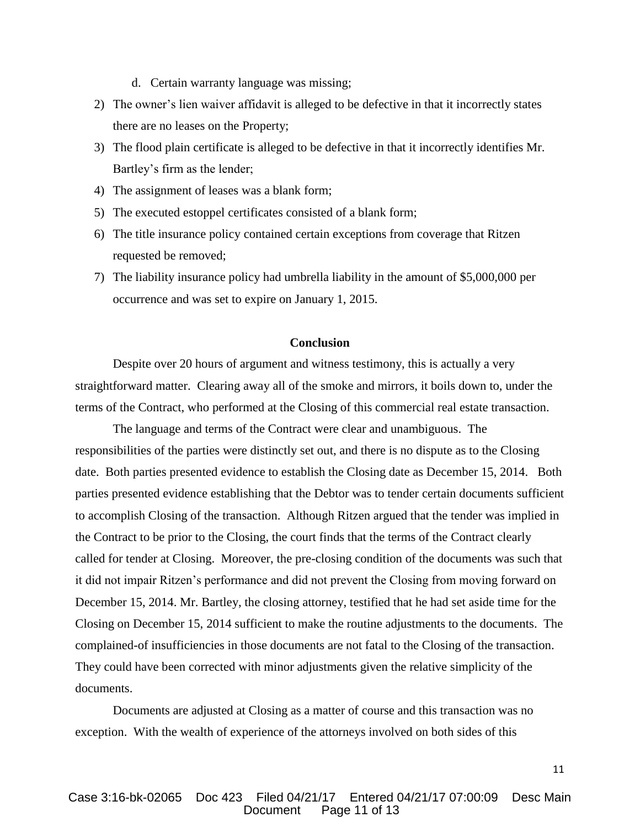- d. Certain warranty language was missing;
- 2) The owner's lien waiver affidavit is alleged to be defective in that it incorrectly states there are no leases on the Property;
- 3) The flood plain certificate is alleged to be defective in that it incorrectly identifies Mr. Bartley's firm as the lender;
- 4) The assignment of leases was a blank form;
- 5) The executed estoppel certificates consisted of a blank form;
- 6) The title insurance policy contained certain exceptions from coverage that Ritzen requested be removed;
- 7) The liability insurance policy had umbrella liability in the amount of \$5,000,000 per occurrence and was set to expire on January 1, 2015.

# **Conclusion**

Despite over 20 hours of argument and witness testimony, this is actually a very straightforward matter. Clearing away all of the smoke and mirrors, it boils down to, under the terms of the Contract, who performed at the Closing of this commercial real estate transaction.

The language and terms of the Contract were clear and unambiguous. The responsibilities of the parties were distinctly set out, and there is no dispute as to the Closing date. Both parties presented evidence to establish the Closing date as December 15, 2014. Both parties presented evidence establishing that the Debtor was to tender certain documents sufficient to accomplish Closing of the transaction. Although Ritzen argued that the tender was implied in the Contract to be prior to the Closing, the court finds that the terms of the Contract clearly called for tender at Closing. Moreover, the pre-closing condition of the documents was such that it did not impair Ritzen's performance and did not prevent the Closing from moving forward on December 15, 2014. Mr. Bartley, the closing attorney, testified that he had set aside time for the Closing on December 15, 2014 sufficient to make the routine adjustments to the documents. The complained-of insufficiencies in those documents are not fatal to the Closing of the transaction. They could have been corrected with minor adjustments given the relative simplicity of the documents.

Documents are adjusted at Closing as a matter of course and this transaction was no exception. With the wealth of experience of the attorneys involved on both sides of this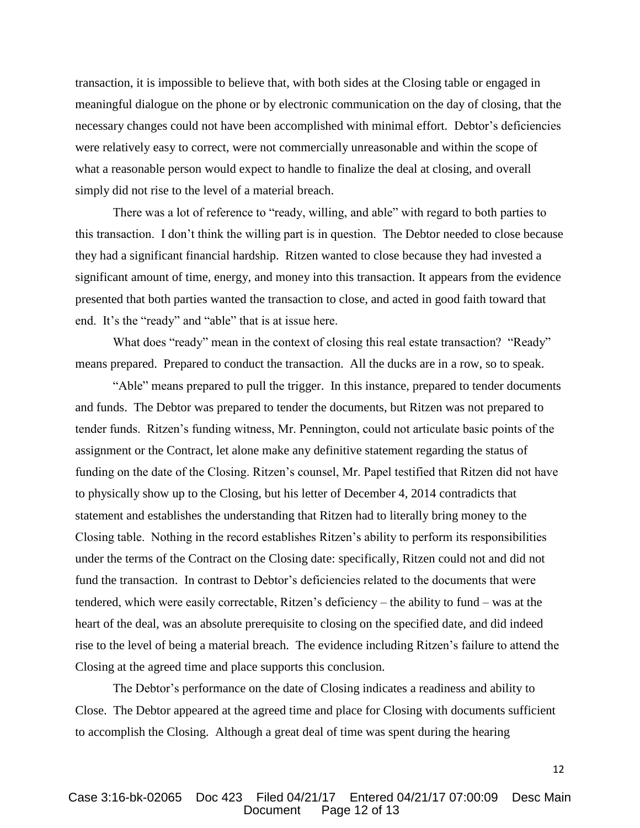transaction, it is impossible to believe that, with both sides at the Closing table or engaged in meaningful dialogue on the phone or by electronic communication on the day of closing, that the necessary changes could not have been accomplished with minimal effort. Debtor's deficiencies were relatively easy to correct, were not commercially unreasonable and within the scope of what a reasonable person would expect to handle to finalize the deal at closing, and overall simply did not rise to the level of a material breach.

There was a lot of reference to "ready, willing, and able" with regard to both parties to this transaction. I don't think the willing part is in question. The Debtor needed to close because they had a significant financial hardship. Ritzen wanted to close because they had invested a significant amount of time, energy, and money into this transaction. It appears from the evidence presented that both parties wanted the transaction to close, and acted in good faith toward that end. It's the "ready" and "able" that is at issue here.

What does "ready" mean in the context of closing this real estate transaction? "Ready" means prepared. Prepared to conduct the transaction. All the ducks are in a row, so to speak.

"Able" means prepared to pull the trigger. In this instance, prepared to tender documents and funds. The Debtor was prepared to tender the documents, but Ritzen was not prepared to tender funds. Ritzen's funding witness, Mr. Pennington, could not articulate basic points of the assignment or the Contract, let alone make any definitive statement regarding the status of funding on the date of the Closing. Ritzen's counsel, Mr. Papel testified that Ritzen did not have to physically show up to the Closing, but his letter of December 4, 2014 contradicts that statement and establishes the understanding that Ritzen had to literally bring money to the Closing table. Nothing in the record establishes Ritzen's ability to perform its responsibilities under the terms of the Contract on the Closing date: specifically, Ritzen could not and did not fund the transaction. In contrast to Debtor's deficiencies related to the documents that were tendered, which were easily correctable, Ritzen's deficiency – the ability to fund – was at the heart of the deal, was an absolute prerequisite to closing on the specified date, and did indeed rise to the level of being a material breach. The evidence including Ritzen's failure to attend the Closing at the agreed time and place supports this conclusion.

The Debtor's performance on the date of Closing indicates a readiness and ability to Close. The Debtor appeared at the agreed time and place for Closing with documents sufficient to accomplish the Closing. Although a great deal of time was spent during the hearing